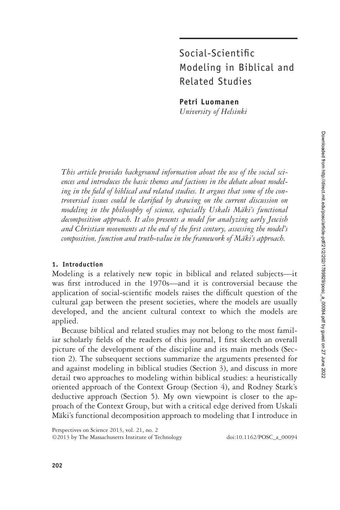**Petri Luomanen** *University of Helsinki*

*This article provides background information about the use of the social sciences and introduces the basic themes and factions in the debate about model*ing in the field of biblical and related studies. It argues that some of the con*troversial issues could be clariªed by drawing on the current discussion on modeling in the philosophy of science, especially Uskali Mäki's functional decomposition approach. It also presents a model for analyzing early Jewish* and Christian movements at the end of the first century, assessing the model's *composition, function and truth-value in the framework of Mäki's approach.*

## **1. Introduction**

Modeling is a relatively new topic in biblical and related subjects—it was first introduced in the 1970s—and it is controversial because the application of social-scientific models raises the difficult question of the cultural gap between the present societies, where the models are usually developed, and the ancient cultural context to which the models are applied.

Because biblical and related studies may not belong to the most familiar scholarly fields of the readers of this journal, I first sketch an overall picture of the development of the discipline and its main methods (Section 2). The subsequent sections summarize the arguments presented for and against modeling in biblical studies (Section 3), and discuss in more detail two approaches to modeling within biblical studies: a heuristically oriented approach of the Context Group (Section 4), and Rodney Stark's deductive approach (Section 5). My own viewpoint is closer to the approach of the Context Group, but with a critical edge derived from Uskali Mäki's functional decomposition approach to modeling that I introduce in

Perspectives on Science 2013, vol. 21, no. 2 ©2013 by The Massachusetts Institute of Technology doi:10.1162/POSC\_a\_00094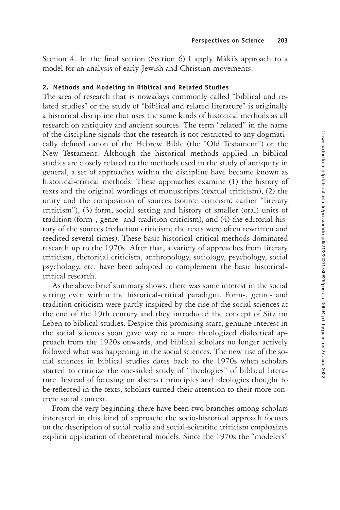Section 4. In the final section (Section 6) I apply Mäki's approach to a model for an analysis of early Jewish and Christian movements.

# **2. Methods and Modeling in Biblical and Related Studies**

The area of research that is nowadays commonly called "biblical and related studies" or the study of "biblical and related literature" is originally a historical discipline that uses the same kinds of historical methods as all research on antiquity and ancient sources. The term "related" in the name of the discipline signals that the research is not restricted to any dogmatically defined canon of the Hebrew Bible (the "Old Testament") or the New Testament. Although the historical methods applied in biblical studies are closely related to the methods used in the study of antiquity in general, a set of approaches within the discipline have become known as historical-critical methods. These approaches examine (1) the history of texts and the original wordings of manuscripts (textual criticism), (2) the unity and the composition of sources (source criticism; earlier "literary criticism"), (3) form, social setting and history of smaller (oral) units of tradition (form-, genre- and tradition criticism), and (4) the editorial history of the sources (redaction criticism; the texts were often rewritten and reedited several times). These basic historical-critical methods dominated research up to the 1970s. After that, a variety of approaches from literary criticism, rhetorical criticism, anthropology, sociology, psychology, social psychology, etc. have been adopted to complement the basic historicalcritical research.

As the above brief summary shows, there was some interest in the social setting even within the historical-critical paradigm. Form-, genre- and tradition criticism were partly inspired by the rise of the social sciences at the end of the 19th century and they introduced the concept of Sitz im Leben to biblical studies. Despite this promising start, genuine interest in the social sciences soon gave way to a more theologized dialectical approach from the 1920s onwards, and biblical scholars no longer actively followed what was happening in the social sciences. The new rise of the social sciences in biblical studies dates back to the 1970s when scholars started to criticize the one-sided study of "theologies" of biblical literature. Instead of focusing on abstract principles and ideologies thought to be reflected in the texts, scholars turned their attention to their more concrete social context.

From the very beginning there have been two branches among scholars interested in this kind of approach: the socio-historical approach focuses on the description of social realia and social-scientific criticism emphasizes explicit application of theoretical models. Since the 1970s the "modelers"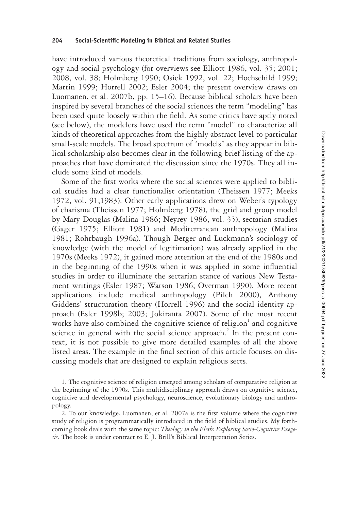have introduced various theoretical traditions from sociology, anthropology and social psychology (for overviews see Elliott 1986, vol. 35; 2001; 2008, vol. 38; Holmberg 1990; Osiek 1992, vol. 22; Hochschild 1999; Martin 1999; Horrell 2002; Esler 2004; the present overview draws on Luomanen, et al. 2007b, pp. 15–16). Because biblical scholars have been inspired by several branches of the social sciences the term "modeling" has been used quite loosely within the field. As some critics have aptly noted (see below), the modelers have used the term "model" to characterize all kinds of theoretical approaches from the highly abstract level to particular small-scale models. The broad spectrum of "models" as they appear in biblical scholarship also becomes clear in the following brief listing of the approaches that have dominated the discussion since the 1970s. They all include some kind of models.

Some of the first works where the social sciences were applied to biblical studies had a clear functionalist orientation (Theissen 1977; Meeks 1972, vol. 91;1983). Other early applications drew on Weber's typology of charisma (Theissen 1977; Holmberg 1978), the grid and group model by Mary Douglas (Malina 1986; Neyrey 1986, vol. 35), sectarian studies (Gager 1975; Elliott 1981) and Mediterranean anthropology (Malina 1981; Rohrbaugh 1996a). Though Berger and Luckmann's sociology of knowledge (with the model of legitimation) was already applied in the 1970s (Meeks 1972), it gained more attention at the end of the 1980s and in the beginning of the 1990s when it was applied in some influential studies in order to illuminate the sectarian stance of various New Testament writings (Esler 1987; Watson 1986; Overman 1990). More recent applications include medical anthropology (Pilch 2000), Anthony Giddens' structuration theory (Horrell 1996) and the social identity approach (Esler 1998b; 2003; Jokiranta 2007). Some of the most recent works have also combined the cognitive science of religion and cognitive science in general with the social science approach.<sup>2</sup> In the present context, it is not possible to give more detailed examples of all the above listed areas. The example in the final section of this article focuses on discussing models that are designed to explain religious sects.

1. The cognitive science of religion emerged among scholars of comparative religion at the beginning of the 1990s. This multidisciplinary approach draws on cognitive science, cognitive and developmental psychology, neuroscience, evolutionary biology and anthropology.

2. To our knowledge, Luomanen, et al. 2007a is the first volume where the cognitive study of religion is programmatically introduced in the field of biblical studies. My forthcoming book deals with the same topic: *Theology in the Flesh: Exploring Socio-Cognitive Exegesis.* The book is under contract to E. J. Brill's Biblical Interpretation Series.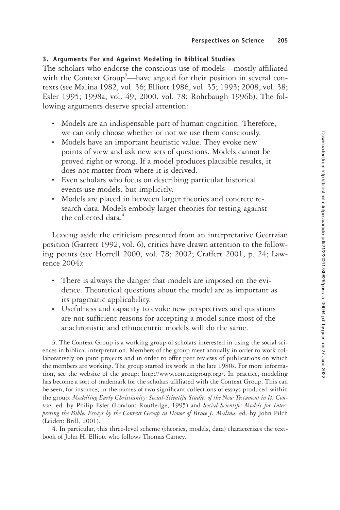# **3. Arguments For and Against Modeling in Biblical Studies**

The scholars who endorse the conscious use of models—mostly affiliated with the Context Group<sup>3</sup>—have argued for their position in several contexts (see Malina 1982, vol. 36; Elliott 1986, vol. 35; 1993; 2008, vol. 38; Esler 1995; 1998a, vol. 49; 2000, vol. 78; Rohrbaugh 1996b). The following arguments deserve special attention:

- Models are an indispensable part of human cognition. Therefore, we can only choose whether or not we use them consciously.
- Models have an important heuristic value. They evoke new points of view and ask new sets of questions. Models cannot be proved right or wrong. If a model produces plausible results, it does not matter from where it is derived.
- Even scholars who focus on describing particular historical events use models, but implicitly.
- Models are placed in between larger theories and concrete research data. Models embody larger theories for testing against the collected data. $4$

Leaving aside the criticism presented from an interpretative Geertzian position (Garrett 1992, vol. 6), critics have drawn attention to the following points (see Horrell 2000, vol. 78; 2002; Craffert 2001, p. 24; Lawrence 2004):

- There is always the danger that models are imposed on the evidence. Theoretical questions about the model are as important as its pragmatic applicability.
- Usefulness and capacity to evoke new perspectives and questions are not sufficient reasons for accepting a model since most of the anachronistic and ethnocentric models will do the same.

3. The Context Group is a working group of scholars interested in using the social sciences in biblical interpretation. Members of the group meet annually in order to work collaboratively on joint projects and in order to offer peer reviews of publications on which the members are working. The group started its work in the late 1980s. For more information, see the website of the group: http://www.contextgroup.org/. In practice, modeling has become a sort of trademark for the scholars affiliated with the Context Group. This can be seen, for instance, in the names of two significant collections of essays produced within the group: *Modelling Early Christianity: Social-Scientific Studies of the New Testament in Its Con*text, ed. by Philip Esler (London: Routledge, 1995) and *Social-Scientific Models for Interpreting the Bible: Essays by the Context Group in Honor of Bruce J. Malina,* ed. by John Pilch (Leiden: Brill, 2001).

4. In particular, this three-level scheme (theories, models, data) characterizes the textbook of John H. Elliott who follows Thomas Carney.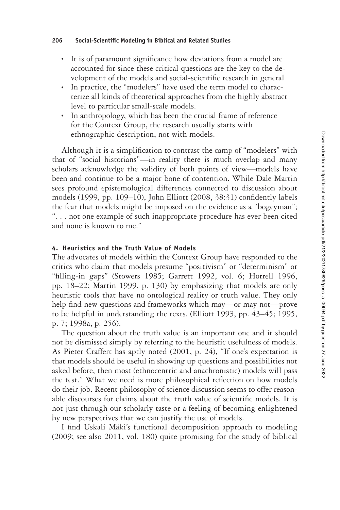- It is of paramount significance how deviations from a model are accounted for since these critical questions are the key to the development of the models and social-scientific research in general
- In practice, the "modelers" have used the term model to characterize all kinds of theoretical approaches from the highly abstract level to particular small-scale models.
- In anthropology, which has been the crucial frame of reference for the Context Group, the research usually starts with ethnographic description, not with models.

Although it is a simplification to contrast the camp of "modelers" with that of "social historians"—in reality there is much overlap and many scholars acknowledge the validity of both points of view—models have been and continue to be a major bone of contention. While Dale Martin sees profound epistemological differences connected to discussion about models (1999, pp. 109–10), John Elliott (2008, 38:31) confidently labels the fear that models might be imposed on the evidence as a "bogeyman"; ". . . not one example of such inappropriate procedure has ever been cited and none is known to me."

## **4. Heuristics and the Truth Value of Models**

The advocates of models within the Context Group have responded to the critics who claim that models presume "positivism" or "determinism" or "filling-in gaps" (Stowers 1985; Garrett 1992, vol. 6; Horrell 1996, pp. 18–22; Martin 1999, p. 130) by emphasizing that models are only heuristic tools that have no ontological reality or truth value. They only help find new questions and frameworks which may—or may not—prove to be helpful in understanding the texts. (Elliott 1993, pp. 43–45; 1995, p. 7; 1998a, p. 256).

The question about the truth value is an important one and it should not be dismissed simply by referring to the heuristic usefulness of models. As Pieter Craffert has aptly noted (2001, p. 24), "If one's expectation is that models should be useful in showing up questions and possibilities not asked before, then most (ethnocentric and anachronistic) models will pass the test." What we need is more philosophical reflection on how models do their job. Recent philosophy of science discussion seems to offer reasonable discourses for claims about the truth value of scientific models. It is not just through our scholarly taste or a feeling of becoming enlightened by new perspectives that we can justify the use of models.

I find Uskali Mäki's functional decomposition approach to modeling (2009; see also 2011, vol. 180) quite promising for the study of biblical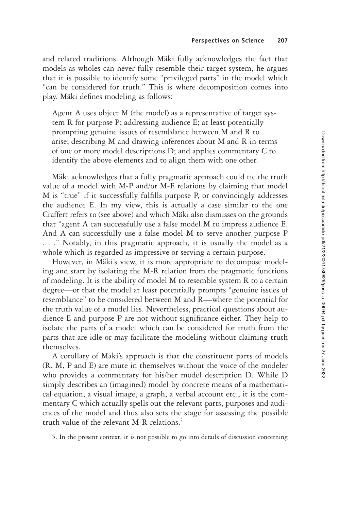and related traditions. Although Mäki fully acknowledges the fact that models as wholes can never fully resemble their target system, he argues that it is possible to identify some "privileged parts" in the model which "can be considered for truth." This is where decomposition comes into play. Mäki defines modeling as follows:

Agent A uses object M (the model) as a representative of target system R for purpose P; addressing audience E; at least potentially prompting genuine issues of resemblance between M and R to arise; describing M and drawing inferences about M and R in terms of one or more model descriptions D; and applies commentary C to identify the above elements and to align them with one other.

Mäki acknowledges that a fully pragmatic approach could tie the truth value of a model with M-P and/or M-E relations by claiming that model M is "true" if it successfully fulfills purpose P, or convincingly addresses the audience E. In my view, this is actually a case similar to the one Craffert refers to (see above) and which Mäki also dismisses on the grounds that "agent A can successfully use a false model M to impress audience E. And A can successfully use a false model M to serve another purpose P . . ." Notably, in this pragmatic approach, it is usually the model as a whole which is regarded as impressive or serving a certain purpose.

However, in Mäki's view, it is more appropriate to decompose modeling and start by isolating the M-R relation from the pragmatic functions of modeling. It is the ability of model M to resemble system R to a certain degree—or that the model at least potentially prompts "genuine issues of resemblance" to be considered between M and R—where the potential for the truth value of a model lies. Nevertheless, practical questions about audience  $E$  and purpose  $P$  are not without significance either. They help to isolate the parts of a model which can be considered for truth from the parts that are idle or may facilitate the modeling without claiming truth themselves.

A corollary of Mäki's approach is that the constituent parts of models (R, M, P and E) are mute in themselves without the voice of the modeler who provides a commentary for his/her model description D. While D simply describes an (imagined) model by concrete means of a mathematical equation, a visual image, a graph, a verbal account etc., it is the commentary C which actually spells out the relevant parts, purposes and audiences of the model and thus also sets the stage for assessing the possible truth value of the relevant M-R relations.<sup>5</sup>

5. In the present context, it is not possible to go into details of discussion concerning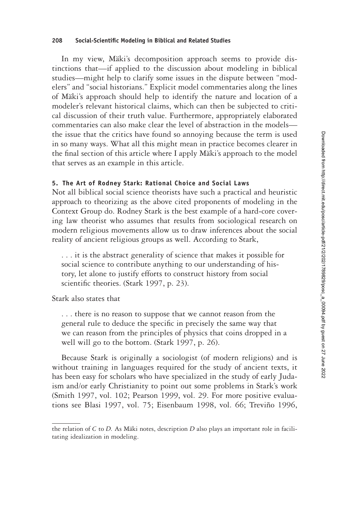In my view, Mäki's decomposition approach seems to provide distinctions that—if applied to the discussion about modeling in biblical studies—might help to clarify some issues in the dispute between "modelers" and "social historians." Explicit model commentaries along the lines of Mäki's approach should help to identify the nature and location of a modeler's relevant historical claims, which can then be subjected to critical discussion of their truth value. Furthermore, appropriately elaborated commentaries can also make clear the level of abstraction in the models the issue that the critics have found so annoying because the term is used in so many ways. What all this might mean in practice becomes clearer in the final section of this article where I apply Mäki's approach to the model that serves as an example in this article.

## **5. The Art of Rodney Stark: Rational Choice and Social Laws**

Not all biblical social science theorists have such a practical and heuristic approach to theorizing as the above cited proponents of modeling in the Context Group do. Rodney Stark is the best example of a hard-core covering law theorist who assumes that results from sociological research on modern religious movements allow us to draw inferences about the social reality of ancient religious groups as well. According to Stark,

. . . it is the abstract generality of science that makes it possible for social science to contribute anything to our understanding of history, let alone to justify efforts to construct history from social scientific theories. (Stark 1997, p. 23).

Stark also states that

. . . there is no reason to suppose that we cannot reason from the general rule to deduce the specific in precisely the same way that we can reason from the principles of physics that coins dropped in a well will go to the bottom. (Stark 1997, p. 26).

Because Stark is originally a sociologist (of modern religions) and is without training in languages required for the study of ancient texts, it has been easy for scholars who have specialized in the study of early Judaism and/or early Christianity to point out some problems in Stark's work (Smith 1997, vol. 102; Pearson 1999, vol. 29. For more positive evaluations see Blasi 1997, vol. 75; Eisenbaum 1998, vol. 66; Treviño 1996,

the relation of *C* to *D.* As Mäki notes, description *D* also plays an important role in facilitating idealization in modeling.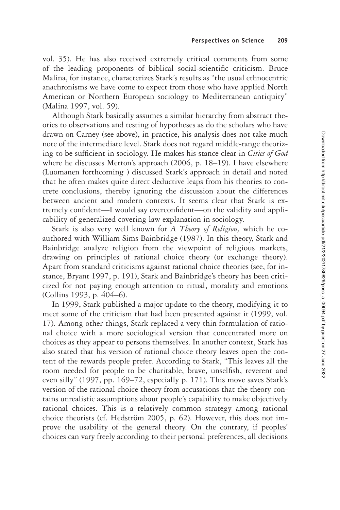vol. 35). He has also received extremely critical comments from some of the leading proponents of biblical social-scientific criticism. Bruce Malina, for instance, characterizes Stark's results as "the usual ethnocentric anachronisms we have come to expect from those who have applied North American or Northern European sociology to Mediterranean antiquity" (Malina 1997, vol. 59).

Although Stark basically assumes a similar hierarchy from abstract theories to observations and testing of hypotheses as do the scholars who have drawn on Carney (see above), in practice, his analysis does not take much note of the intermediate level. Stark does not regard middle-range theorizing to be sufficient in sociology. He makes his stance clear in *Cities of God* where he discusses Merton's approach (2006, p. 18–19). I have elsewhere (Luomanen forthcoming ) discussed Stark's approach in detail and noted that he often makes quite direct deductive leaps from his theories to concrete conclusions, thereby ignoring the discussion about the differences between ancient and modern contexts. It seems clear that Stark is extremely confident—I would say overconfident—on the validity and applicability of generalized covering law explanation in sociology.

Stark is also very well known for *A Theory of Religion,* which he coauthored with William Sims Bainbridge (1987). In this theory, Stark and Bainbridge analyze religion from the viewpoint of religious markets, drawing on principles of rational choice theory (or exchange theory). Apart from standard criticisms against rational choice theories (see, for instance, Bryant 1997, p. 191), Stark and Bainbridge's theory has been criticized for not paying enough attention to ritual, morality and emotions (Collins 1993, p. 404–6).

In 1999, Stark published a major update to the theory, modifying it to meet some of the criticism that had been presented against it (1999, vol. 17). Among other things, Stark replaced a very thin formulation of rational choice with a more sociological version that concentrated more on choices as they appear to persons themselves. In another context, Stark has also stated that his version of rational choice theory leaves open the content of the rewards people prefer. According to Stark, "This leaves all the room needed for people to be charitable, brave, unselfish, reverent and even silly" (1997, pp. 169–72, especially p. 171). This move saves Stark's version of the rational choice theory from accusations that the theory contains unrealistic assumptions about people's capability to make objectively rational choices. This is a relatively common strategy among rational choice theorists (cf. Hedström 2005, p. 62). However, this does not improve the usability of the general theory. On the contrary, if peoples' choices can vary freely according to their personal preferences, all decisions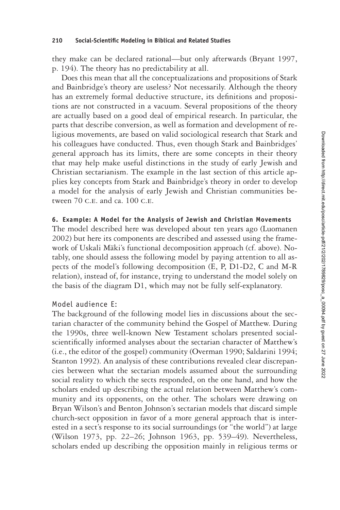they make can be declared rational—but only afterwards (Bryant 1997, p. 194). The theory has no predictability at all.

Does this mean that all the conceptualizations and propositions of Stark and Bainbridge's theory are useless? Not necessarily. Although the theory has an extremely formal deductive structure, its definitions and propositions are not constructed in a vacuum. Several propositions of the theory are actually based on a good deal of empirical research. In particular, the parts that describe conversion, as well as formation and development of religious movements, are based on valid sociological research that Stark and his colleagues have conducted. Thus, even though Stark and Bainbridges' general approach has its limits, there are some concepts in their theory that may help make useful distinctions in the study of early Jewish and Christian sectarianism. The example in the last section of this article applies key concepts from Stark and Bainbridge's theory in order to develop a model for the analysis of early Jewish and Christian communities between 70 c.e. and ca. 100 c.e.

### **6. Example: A Model for the Analysis of Jewish and Christian Movements**

The model described here was developed about ten years ago (Luomanen 2002) but here its components are described and assessed using the framework of Uskali Mäki's functional decomposition approach (cf. above). Notably, one should assess the following model by paying attention to all aspects of the model's following decomposition (E, P, D1-D2, C and M-R relation), instead of, for instance, trying to understand the model solely on the basis of the diagram D1, which may not be fully self-explanatory.

## Model audience E:

The background of the following model lies in discussions about the sectarian character of the community behind the Gospel of Matthew. During the 1990s, three well-known New Testament scholars presented socialscientifically informed analyses about the sectarian character of Matthew's (i.e., the editor of the gospel) community (Overman 1990; Saldarini 1994; Stanton 1992). An analysis of these contributions revealed clear discrepancies between what the sectarian models assumed about the surrounding social reality to which the sects responded, on the one hand, and how the scholars ended up describing the actual relation between Matthew's community and its opponents, on the other. The scholars were drawing on Bryan Wilson's and Benton Johnson's sectarian models that discard simple church-sect opposition in favor of a more general approach that is interested in a sect's response to its social surroundings (or "the world") at large (Wilson 1973, pp. 22–26; Johnson 1963, pp. 539–49). Nevertheless, scholars ended up describing the opposition mainly in religious terms or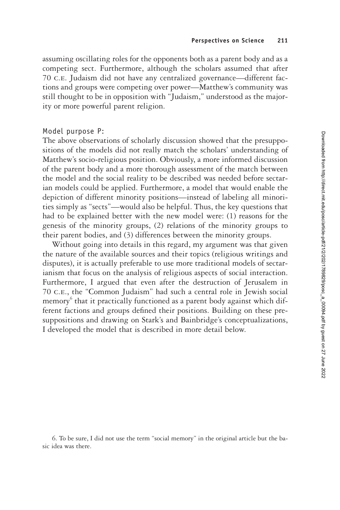assuming oscillating roles for the opponents both as a parent body and as a competing sect. Furthermore, although the scholars assumed that after 70 c.e. Judaism did not have any centralized governance—different factions and groups were competing over power—Matthew's community was still thought to be in opposition with "Judaism," understood as the majority or more powerful parent religion.

## Model purpose P:

The above observations of scholarly discussion showed that the presuppositions of the models did not really match the scholars' understanding of Matthew's socio-religious position. Obviously, a more informed discussion of the parent body and a more thorough assessment of the match between the model and the social reality to be described was needed before sectarian models could be applied. Furthermore, a model that would enable the depiction of different minority positions—instead of labeling all minorities simply as "sects"—would also be helpful. Thus, the key questions that had to be explained better with the new model were: (1) reasons for the genesis of the minority groups, (2) relations of the minority groups to their parent bodies, and (3) differences between the minority groups.

Without going into details in this regard, my argument was that given the nature of the available sources and their topics (religious writings and disputes), it is actually preferable to use more traditional models of sectarianism that focus on the analysis of religious aspects of social interaction. Furthermore, I argued that even after the destruction of Jerusalem in 70 c.e., the "Common Judaism" had such a central role in Jewish social memory<sup>6</sup> that it practically functioned as a parent body against which different factions and groups defined their positions. Building on these presuppositions and drawing on Stark's and Bainbridge's conceptualizations, I developed the model that is described in more detail below.

6. To be sure, I did not use the term "social memory" in the original article but the basic idea was there.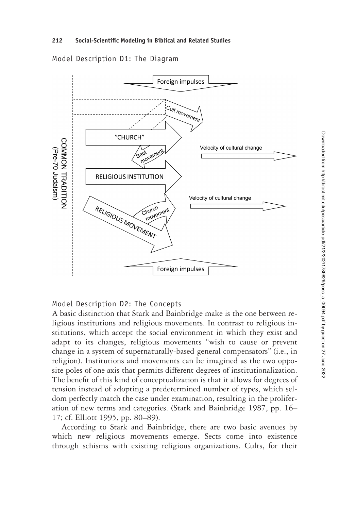

Model Description D1: The Diagram

# Model Description D2: The Concepts

A basic distinction that Stark and Bainbridge make is the one between religious institutions and religious movements. In contrast to religious institutions, which accept the social environment in which they exist and adapt to its changes, religious movements "wish to cause or prevent change in a system of supernaturally-based general compensators" (i.e., in religion). Institutions and movements can be imagined as the two opposite poles of one axis that permits different degrees of institutionalization. The benefit of this kind of conceptualization is that it allows for degrees of tension instead of adopting a predetermined number of types, which seldom perfectly match the case under examination, resulting in the proliferation of new terms and categories. (Stark and Bainbridge 1987, pp. 16– 17; cf. Elliott 1995, pp. 80–89).

According to Stark and Bainbridge, there are two basic avenues by which new religious movements emerge. Sects come into existence through schisms with existing religious organizations. Cults, for their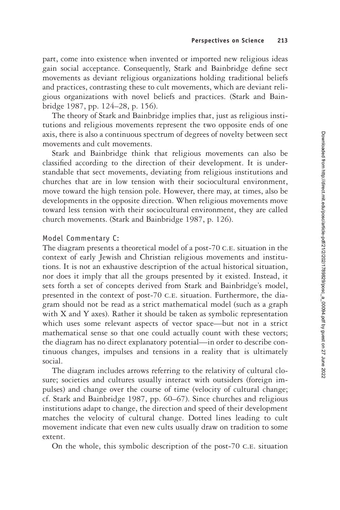part, come into existence when invented or imported new religious ideas gain social acceptance. Consequently, Stark and Bainbridge define sect movements as deviant religious organizations holding traditional beliefs and practices, contrasting these to cult movements, which are deviant religious organizations with novel beliefs and practices. (Stark and Bainbridge 1987, pp. 124–28, p. 156).

The theory of Stark and Bainbridge implies that, just as religious institutions and religious movements represent the two opposite ends of one axis, there is also a continuous spectrum of degrees of novelty between sect movements and cult movements.

Stark and Bainbridge think that religious movements can also be classified according to the direction of their development. It is understandable that sect movements, deviating from religious institutions and churches that are in low tension with their sociocultural environment, move toward the high tension pole. However, there may, at times, also be developments in the opposite direction. When religious movements move toward less tension with their sociocultural environment, they are called church movements. (Stark and Bainbridge 1987, p. 126).

# Model Commentary C:

The diagram presents a theoretical model of a post-70 C.E. situation in the context of early Jewish and Christian religious movements and institutions. It is not an exhaustive description of the actual historical situation, nor does it imply that all the groups presented by it existed. Instead, it sets forth a set of concepts derived from Stark and Bainbridge's model, presented in the context of post-70 c.e. situation. Furthermore, the diagram should not be read as a strict mathematical model (such as a graph with X and Y axes). Rather it should be taken as symbolic representation which uses some relevant aspects of vector space—but not in a strict mathematical sense so that one could actually count with these vectors; the diagram has no direct explanatory potential—in order to describe continuous changes, impulses and tensions in a reality that is ultimately social.

The diagram includes arrows referring to the relativity of cultural closure; societies and cultures usually interact with outsiders (foreign impulses) and change over the course of time (velocity of cultural change; cf. Stark and Bainbridge 1987, pp. 60–67). Since churches and religious institutions adapt to change, the direction and speed of their development matches the velocity of cultural change. Dotted lines leading to cult movement indicate that even new cults usually draw on tradition to some extent.

On the whole, this symbolic description of the post-70 C.E. situation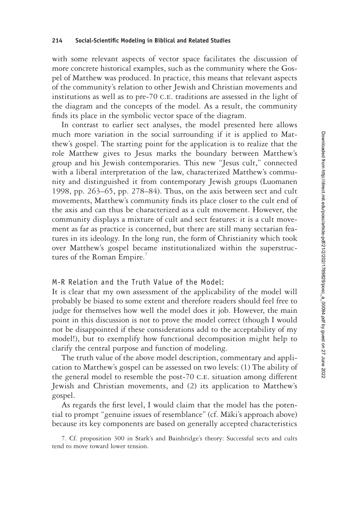with some relevant aspects of vector space facilitates the discussion of more concrete historical examples, such as the community where the Gospel of Matthew was produced. In practice, this means that relevant aspects of the community's relation to other Jewish and Christian movements and institutions as well as to pre-70 C.E. traditions are assessed in the light of the diagram and the concepts of the model. As a result, the community finds its place in the symbolic vector space of the diagram.

In contrast to earlier sect analyses, the model presented here allows much more variation in the social surrounding if it is applied to Matthew's gospel. The starting point for the application is to realize that the role Matthew gives to Jesus marks the boundary between Matthew's group and his Jewish contemporaries. This new "Jesus cult," connected with a liberal interpretation of the law, characterized Matthew's community and distinguished it from contemporary Jewish groups (Luomanen 1998, pp. 263–65, pp. 278–84). Thus, on the axis between sect and cult movements, Matthew's community finds its place closer to the cult end of the axis and can thus be characterized as a cult movement. However, the community displays a mixture of cult and sect features: it is a cult movement as far as practice is concerned, but there are still many sectarian features in its ideology. In the long run, the form of Christianity which took over Matthew's gospel became institutionalized within the superstructures of the Roman Empire.<sup>7</sup>

# M-R Relation and the Truth Value of the Model:

It is clear that my own assessment of the applicability of the model will probably be biased to some extent and therefore readers should feel free to judge for themselves how well the model does it job. However, the main point in this discussion is not to prove the model correct (though I would not be disappointed if these considerations add to the acceptability of my model!), but to exemplify how functional decomposition might help to clarify the central purpose and function of modeling.

The truth value of the above model description, commentary and application to Matthew's gospel can be assessed on two levels: (1) The ability of the general model to resemble the post-70 c.e. situation among different Jewish and Christian movements, and (2) its application to Matthew's gospel.

As regards the first level, I would claim that the model has the potential to prompt "genuine issues of resemblance" (cf. Mäki's approach above) because its key components are based on generally accepted characteristics

7. Cf. proposition 300 in Stark's and Bainbridge's theory: Successful sects and cults tend to move toward lower tension.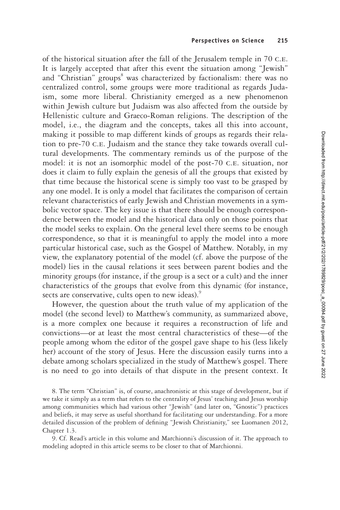of the historical situation after the fall of the Jerusalem temple in 70 c.e. It is largely accepted that after this event the situation among "Jewish" and "Christian" groups<sup>8</sup> was characterized by factionalism: there was no centralized control, some groups were more traditional as regards Judaism, some more liberal. Christianity emerged as a new phenomenon within Jewish culture but Judaism was also affected from the outside by Hellenistic culture and Graeco-Roman religions. The description of the model, i.e., the diagram and the concepts, takes all this into account, making it possible to map different kinds of groups as regards their relation to pre-70 c.e. Judaism and the stance they take towards overall cultural developments. The commentary reminds us of the purpose of the model: it is not an isomorphic model of the post-70 c.e. situation, nor does it claim to fully explain the genesis of all the groups that existed by that time because the historical scene is simply too vast to be grasped by any one model. It is only a model that facilitates the comparison of certain relevant characteristics of early Jewish and Christian movements in a symbolic vector space. The key issue is that there should be enough correspondence between the model and the historical data only on those points that the model seeks to explain. On the general level there seems to be enough correspondence, so that it is meaningful to apply the model into a more particular historical case, such as the Gospel of Matthew. Notably, in my view, the explanatory potential of the model (cf. above the purpose of the model) lies in the causal relations it sees between parent bodies and the minority groups (for instance, if the group is a sect or a cult) and the inner characteristics of the groups that evolve from this dynamic (for instance, sects are conservative, cults open to new ideas).<sup>9</sup>

However, the question about the truth value of my application of the model (the second level) to Matthew's community, as summarized above, is a more complex one because it requires a reconstruction of life and convictions—or at least the most central characteristics of these—of the people among whom the editor of the gospel gave shape to his (less likely her) account of the story of Jesus. Here the discussion easily turns into a debate among scholars specialized in the study of Matthew's gospel. There is no need to go into details of that dispute in the present context. It

8. The term "Christian" is, of course, anachronistic at this stage of development, but if we take it simply as a term that refers to the centrality of Jesus' teaching and Jesus worship among communities which had various other "Jewish" (and later on, "Gnostic") practices and beliefs, it may serve as useful shorthand for facilitating our understanding. For a more detailed discussion of the problem of defining "Jewish Christianity," see Luomanen 2012, Chapter 1.3.

9. Cf. Read's article in this volume and Marchionni's discussion of it. The approach to modeling adopted in this article seems to be closer to that of Marchionni.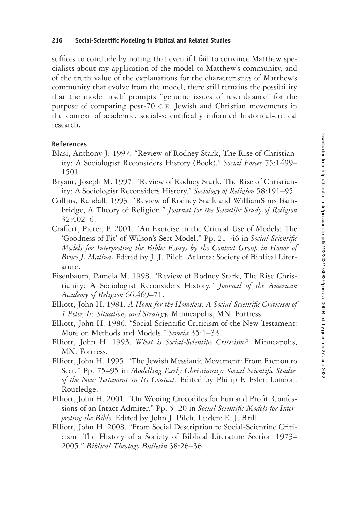suffices to conclude by noting that even if I fail to convince Matthew specialists about my application of the model to Matthew's community, and of the truth value of the explanations for the characteristics of Matthew's community that evolve from the model, there still remains the possibility that the model itself prompts "genuine issues of resemblance" for the purpose of comparing post-70 c.e. Jewish and Christian movements in the context of academic, social-scientifically informed historical-critical research.

### **References**

- Blasi, Anthony J. 1997. "Review of Rodney Stark, The Rise of Christianity: A Sociologist Reconsiders History (Book)." *Social Forces* 75:1499– 1501.
- Bryant, Joseph M. 1997. "Review of Rodney Stark, The Rise of Christianity: A Sociologist Reconsiders History." *Sociology of Religion* 58:191–95.
- Collins, Randall. 1993. "Review of Rodney Stark and WilliamSims Bainbridge, A Theory of Religion." *Journal for the Scientific Study of Religion* 32:402–6.
- Craffert, Pieter, F. 2001. "An Exercise in the Critical Use of Models: The 'Goodness of Fit' of Wilson's Sect Model." Pp. 21-46 in Social-Scientific *Models for Interpreting the Bible: Essays by the Context Group in Honor of Bruce J. Malina.* Edited by J. J. Pilch. Atlanta: Society of Biblical Literature.
- Eisenbaum, Pamela M. 1998. "Review of Rodney Stark, The Rise Christianity: A Sociologist Reconsiders History." *Journal of the American Academy of Religion* 66:469–71.
- Elliott, John H. 1981. *A Home for the Homeless: A Social-Scientific Criticism of 1 Peter, Its Situation, and Strategy.* Minneapolis, MN: Fortress.
- Elliott, John H. 1986. "Social-Scientific Criticism of the New Testament: More on Methods and Models." *Semeia* 35:1–33.
- Elliott, John H. 1993. *What is Social-Scientific Criticism?*. Minneapolis, MN: Fortress.
- Elliott, John H. 1995. "The Jewish Messianic Movement: From Faction to Sect." Pp. 75–95 in *Modelling Early Christianity: Social Scientific Studies of the New Testament in Its Context.* Edited by Philip F. Esler. London: Routledge.
- Elliott, John H. 2001. "On Wooing Crocodiles for Fun and Profit: Confessions of an Intact Admirer." Pp. 5-20 in Social Scientific Models for Inter*preting the Bible.* Edited by John J. Pilch. Leiden: E. J. Brill.
- Elliott, John H. 2008. "From Social Description to Social-Scientific Criticism: The History of a Society of Biblical Literature Section 1973– 2005." *Biblical Theology Bulletin* 38:26–36.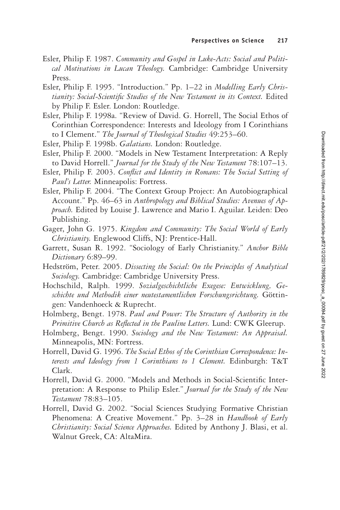- Esler, Philip F. 1987. *Community and Gospel in Luke-Acts: Social and Political Motivations in Lucan Theology.* Cambridge: Cambridge University Press.
- Esler, Philip F. 1995. "Introduction." Pp. 1–22 in *Modelling Early Chris*tianity: Social-Scientific Studies of the New Testament in its Context. Edited by Philip F. Esler. London: Routledge.
- Esler, Philip F. 1998a. "Review of David. G. Horrell, The Social Ethos of Corinthian Correspondence: Interests and Ideology from I Corinthians to I Clement." *The Journal of Theological Studies* 49:253–60.
- Esler, Philip F. 1998b. *Galatians.* London: Routledge.
- Esler, Philip F. 2000. "Models in New Testament Interpretation: A Reply to David Horrell." *Journal for the Study of the New Testament* 78:107–13.
- Esler, Philip F. 2003. *Conflict and Identity in Romans: The Social Setting of Paul's Letter.* Minneapolis: Fortress.
- Esler, Philip F. 2004. "The Context Group Project: An Autobiographical Account." Pp. 46–63 in *Anthropology and Biblical Studies: Avenues of Approach.* Edited by Louise J. Lawrence and Mario I. Aguilar. Leiden: Deo Publishing.
- Gager, John G. 1975. *Kingdom and Community: The Social World of Early Christianity.* Englewood Cliffs, NJ: Prentice-Hall.
- Garrett, Susan R. 1992. "Sociology of Early Christianity." *Anchor Bible Dictionary* 6:89–99.
- Hedström, Peter. 2005. *Dissecting the Social: On the Principles of Analytical Sociology.* Cambridge: Cambridge University Press.
- Hochschild, Ralph. 1999. *Sozialgeschichtliche Exegese: Entwicklung, Geschichte und Methodik einer neutestamentlichen Forschungsrichtung.* Göttingen: Vandenhoeck & Ruprecht.
- Holmberg, Bengt. 1978. *Paul and Power: The Structure of Authority in the Primitive Church as Reflected in the Pauline Letters. Lund: CWK Gleerup.*
- Holmberg, Bengt. 1990. *Sociology and the New Testament: An Appraisal.* Minneapolis, MN: Fortress.
- Horrell, David G. 1996. *The Social Ethos of the Corinthian Correspondence: Interests and Ideology from 1 Corinthians to 1 Clement.* Edinburgh: T&T Clark.
- Horrell, David G. 2000. "Models and Methods in Social-Scientific Interpretation: A Response to Philip Esler." *Journal for the Study of the New Testament* 78:83–105.
- Horrell, David G. 2002. "Social Sciences Studying Formative Christian Phenomena: A Creative Movement." Pp. 3–28 in *Handbook of Early Christianity: Social Science Approaches.* Edited by Anthony J. Blasi, et al. Walnut Greek, CA: AltaMira.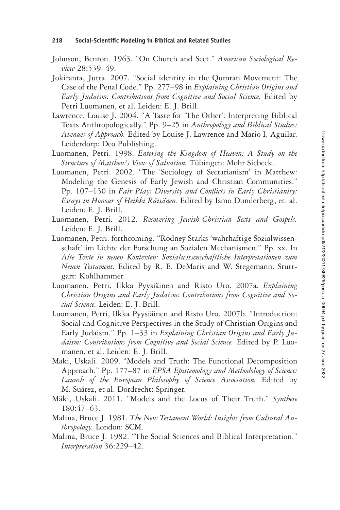- Johnson, Benton. 1963. "On Church and Sect." *American Sociological Review* 28:539–49.
- Jokiranta, Jutta. 2007. "Social identity in the Qumran Movement: The Case of the Penal Code." Pp. 277–98 in *Explaining Christian Origins and Early Judaism: Contributions from Cognitive and Social Science.* Edited by Petri Luomanen, et al. Leiden: E. J. Brill.
- Lawrence, Louise J. 2004. "A Taste for 'The Other': Interpreting Biblical Texts Anthropologically." Pp. 9–25 in *Anthropology and Biblical Studies: Avenues of Approach.* Edited by Louise J. Lawrence and Mario I. Aguilar. Leiderdorp: Deo Publishing.
- Luomanen, Petri. 1998. *Entering the Kingdom of Heaven: A Study on the Structure of Matthew's View of Salvation.* Tübingen: Mohr Siebeck.
- Luomanen, Petri. 2002. "The 'Sociology of Sectarianism' in Matthew: Modeling the Genesis of Early Jewish and Christian Communities." Pp. 107–130 in *Fair Play: Diversity and Conflicts in Early Christianity: Essays in Honour of Heikki Räisänen.* Edited by Ismo Dunderberg, et. al. Leiden: E. J. Brill.
- Luomanen, Petri. 2012. *Recovering Jewish-Christian Sects and Gospels.* Leiden: E. J. Brill.
- Luomanen, Petri. forthcoming. "Rodney Starks 'wahrhaftige Sozialwissenschaft' im Lichte der Forschung an Sozialen Mechanismen." Pp. xx. In *Alte Texte in neuen Kontexten: Sozialwissenschaftliche Interpretationen zum Neuen Testament.* Edited by R. E. DeMaris and W. Stegemann. Stuttgart: Kohlhammer.
- Luomanen, Petri, Ilkka Pyysiäinen and Risto Uro. 2007a. *Explaining Christian Origins and Early Judaism: Contributions from Cognitive and Social Science.* Leiden: E. J. Brill.
- Luomanen, Petri, Ilkka Pyysiäinen and Risto Uro. 2007b. "Introduction: Social and Cognitive Perspectives in the Study of Christian Origins and Early Judaism." Pp. 1–33 in *Explaining Christian Origins and Early Judaism: Contributions from Cognitive and Social Science.* Edited by P. Luomanen, et al. Leiden: E. J. Brill.
- Mäki, Uskali. 2009. "Models and Truth: The Functional Decomposition Approach." Pp. 177–87 in *EPSA Epistemology and Methodology of Science: Launch of the European Philosophy of Science Association.* Edited by M. Suárez, et al. Dordrecht: Springer.
- Mäki, Uskali. 2011. "Models and the Locus of Their Truth." *Synthese* 180:47–63.
- Malina, Bruce J. 1981. *The New Testament World: Insights from Cultural Anthropology.* London: SCM.
- Malina, Bruce J. 1982. "The Social Sciences and Biblical Interpretation." *Interpretation* 36:229–42.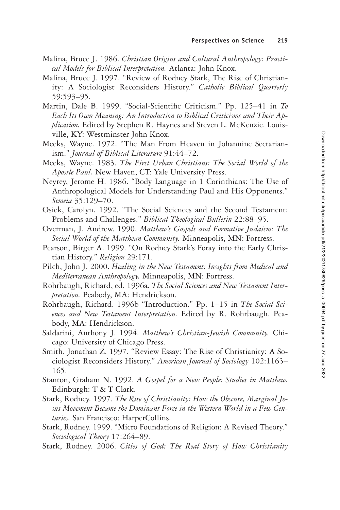- Malina, Bruce J. 1986. *Christian Origins and Cultural Anthropology: Practical Models for Biblical Interpretation.* Atlanta: John Knox.
- Malina, Bruce J. 1997. "Review of Rodney Stark, The Rise of Christianity: A Sociologist Reconsiders History." *Catholic Biblical Quarterly* 59:593–95.
- Martin, Dale B. 1999. "Social-Scientific Criticism." Pp. 125–41 in *To Each Its Own Meaning: An Introduction to Biblical Criticisms and Their Application.* Edited by Stephen R. Haynes and Steven L. McKenzie. Louisville, KY: Westminster John Knox.
- Meeks, Wayne. 1972. "The Man From Heaven in Johannine Sectarianism." *Journal of Biblical Literature* 91:44–72.
- Meeks, Wayne. 1983. *The First Urban Christians: The Social World of the Apostle Paul.* New Haven, CT: Yale University Press.
- Neyrey, Jerome H. 1986. "Body Language in 1 Corinthians: The Use of Anthropological Models for Understanding Paul and His Opponents." *Semeia* 35:129–70.
- Osiek, Carolyn. 1992. "The Social Sciences and the Second Testament: Problems and Challenges." *Biblical Theological Bulletin* 22:88–95.
- Overman, J. Andrew. 1990. *Matthew's Gospels and Formative Judaism: The Social World of the Matthean Community.* Minneapolis, MN: Fortress.
- Pearson, Birger A. 1999. "On Rodney Stark's Foray into the Early Christian History." *Religion* 29:171.
- Pilch, John J. 2000. *Healing in the New Testament: Insights from Medical and Mediterranean Anthropology.* Minneapolis, MN: Fortress.
- Rohrbaugh, Richard, ed. 1996a. *The Social Sciences and New Testament Interpretation.* Peabody, MA: Hendrickson.
- Rohrbaugh, Richard. 1996b "Introduction." Pp. 1–15 in *The Social Sciences and New Testament Interpretation.* Edited by R. Rohrbaugh. Peabody, MA: Hendrickson.
- Saldarini, Anthony J. 1994. *Matthew's Christian-Jewish Community.* Chicago: University of Chicago Press.
- Smith, Jonathan Z. 1997. "Review Essay: The Rise of Christianity: A Sociologist Reconsiders History." *American Journal of Sociology* 102:1163– 165.
- Stanton, Graham N. 1992. *A Gospel for a New People: Studies in Matthew.* Edinburgh: T & T Clark.
- Stark, Rodney. 1997. *The Rise of Christianity: How the Obscure, Marginal Jesus Movement Became the Dominant Force in the Western World in a Few Centuries.* San Francisco: HarperCollins.
- Stark, Rodney. 1999. "Micro Foundations of Religion: A Revised Theory." *Sociological Theory* 17:264–89.
- Stark, Rodney. 2006. *Cities of God: The Real Story of How Christianity*